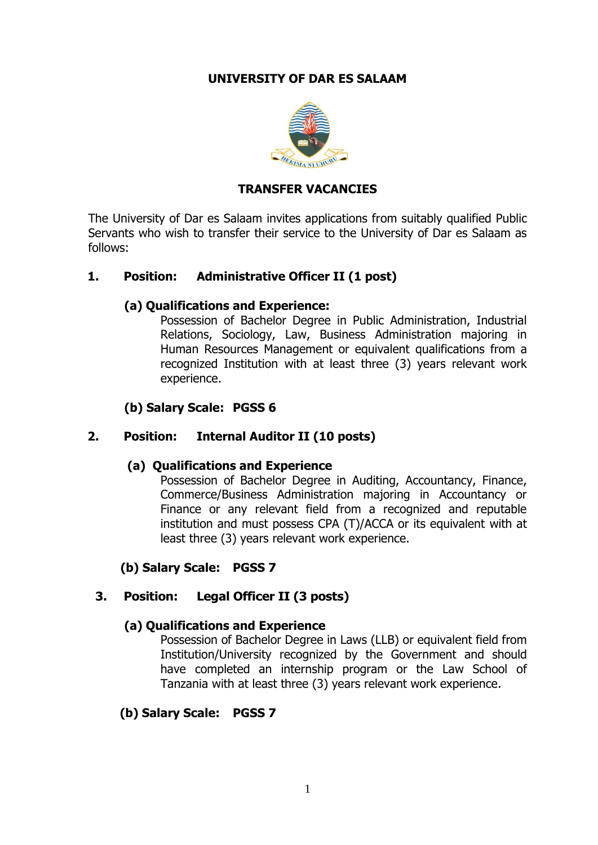### **UNIVERSITY OF DAR ES SALAAM**



#### **TRANSFER VACANCIES**

The University of Dar es Salaam invites applications from suitably qualified Public Servants who wish to transfer their service to the University of Dar es Salaam as follows:

#### **1. Position: Administrative Officer II (1 post)**

### **(a) Qualifications and Experience:**

Possession of Bachelor Degree in Public Administration, Industrial Relations, Sociology, Law, Business Administration majoring in Human Resources Management or equivalent qualifications from a recognized Institution with at least three (3) years relevant work experience.

### **(b) Salary Scale: PGSS 6**

#### **2. Position: Internal Auditor II (10 posts)**

#### **(a) Qualifications and Experience**

Possession of Bachelor Degree in Auditing, Accountancy, Finance, Commerce/Business Administration majoring in Accountancy or Finance or any relevant field from a recognized and reputable institution and must possess CPA (T)/ACCA or its equivalent with at least three (3) years relevant work experience.

**(b) Salary Scale: PGSS 7**

# **3. Position: Legal Officer II (3 posts)**

#### **(a) Qualifications and Experience**

Possession of Bachelor Degree in Laws (LLB) or equivalent field from Institution/University recognized by the Government and should have completed an internship program or the Law School of Tanzania with at least three (3) years relevant work experience.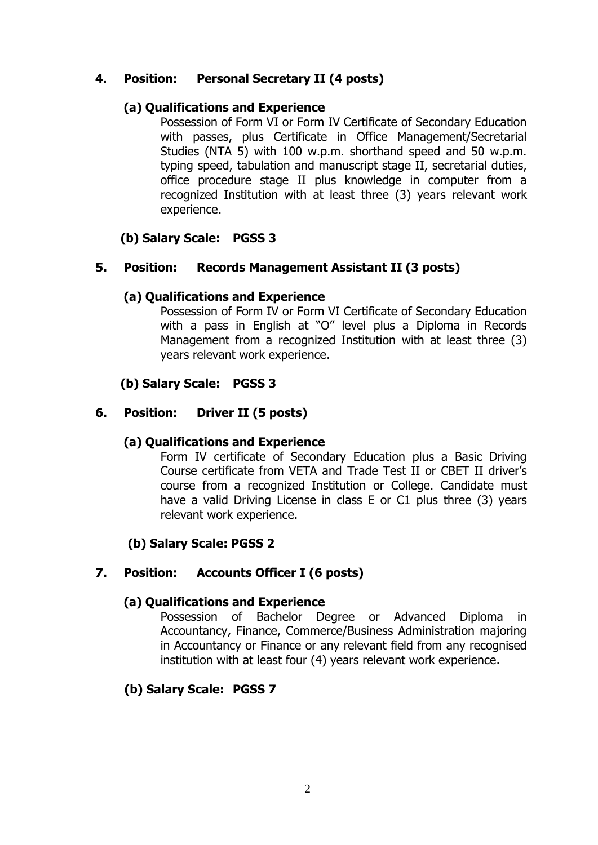### **4. Position: Personal Secretary II (4 posts)**

#### **(a) Qualifications and Experience**

Possession of Form VI or Form IV Certificate of Secondary Education with passes, plus Certificate in Office Management/Secretarial Studies (NTA 5) with 100 w.p.m. shorthand speed and 50 w.p.m. typing speed, tabulation and manuscript stage II, secretarial duties, office procedure stage II plus knowledge in computer from a recognized Institution with at least three (3) years relevant work experience.

### **(b) Salary Scale: PGSS 3**

### **5. Position: Records Management Assistant II (3 posts)**

### **(a) Qualifications and Experience**

Possession of Form IV or Form VI Certificate of Secondary Education with a pass in English at "O" level plus a Diploma in Records Management from a recognized Institution with at least three (3) years relevant work experience.

### **(b) Salary Scale: PGSS 3**

### **6. Position: Driver II (5 posts)**

#### **(a) Qualifications and Experience**

Form IV certificate of Secondary Education plus a Basic Driving Course certificate from VETA and Trade Test II or CBET II driver's course from a recognized Institution or College. Candidate must have a valid Driving License in class E or C1 plus three (3) years relevant work experience.

# **(b) Salary Scale: PGSS 2**

#### **7. Position: Accounts Officer I (6 posts)**

#### **(a) Qualifications and Experience**

Possession of Bachelor Degree or Advanced Diploma in Accountancy, Finance, Commerce/Business Administration majoring in Accountancy or Finance or any relevant field from any recognised institution with at least four (4) years relevant work experience.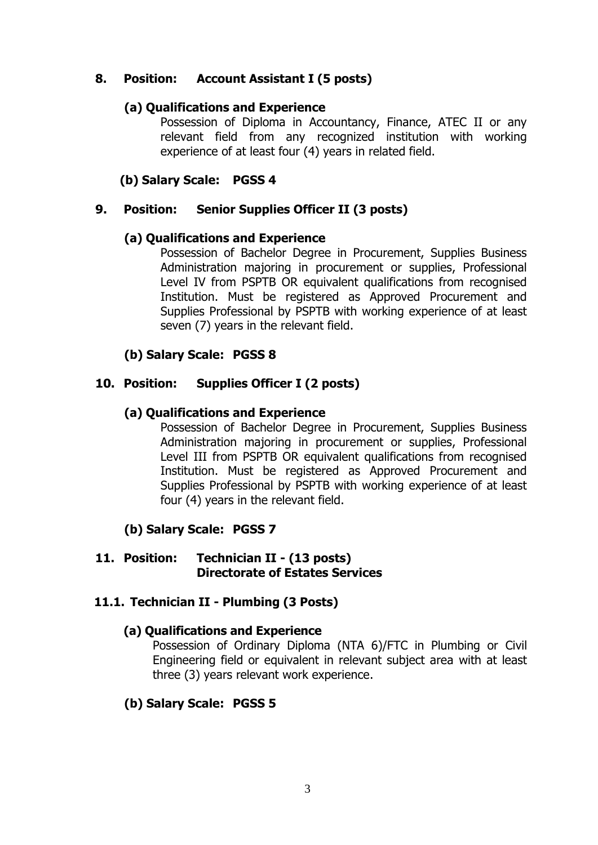### **8. Position: Account Assistant I (5 posts)**

### **(a) Qualifications and Experience**

Possession of Diploma in Accountancy, Finance, ATEC II or any relevant field from any recognized institution with working experience of at least four (4) years in related field.

### **(b) Salary Scale: PGSS 4**

### **9. Position: Senior Supplies Officer II (3 posts)**

#### **(a) Qualifications and Experience**

Possession of Bachelor Degree in Procurement, Supplies Business Administration majoring in procurement or supplies, Professional Level IV from PSPTB OR equivalent qualifications from recognised Institution. Must be registered as Approved Procurement and Supplies Professional by PSPTB with working experience of at least seven (7) years in the relevant field.

### **(b) Salary Scale: PGSS 8**

### **10. Position: Supplies Officer I (2 posts)**

### **(a) Qualifications and Experience**

Possession of Bachelor Degree in Procurement, Supplies Business Administration majoring in procurement or supplies, Professional Level III from PSPTB OR equivalent qualifications from recognised Institution. Must be registered as Approved Procurement and Supplies Professional by PSPTB with working experience of at least four (4) years in the relevant field.

# **(b) Salary Scale: PGSS 7**

#### **11. Position: Technician II - (13 posts) Directorate of Estates Services**

#### **11.1. Technician II - Plumbing (3 Posts)**

#### **(a) Qualifications and Experience**

Possession of Ordinary Diploma (NTA 6)/FTC in Plumbing or Civil Engineering field or equivalent in relevant subject area with at least three (3) years relevant work experience.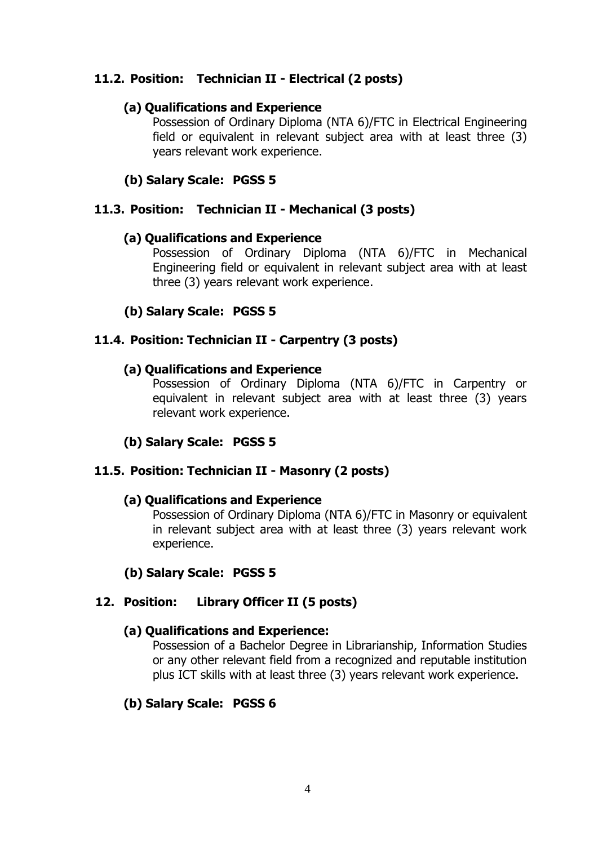### **11.2. Position: Technician II - Electrical (2 posts)**

#### **(a) Qualifications and Experience**

Possession of Ordinary Diploma (NTA 6)/FTC in Electrical Engineering field or equivalent in relevant subject area with at least three (3) years relevant work experience.

### **(b) Salary Scale: PGSS 5**

### **11.3. Position: Technician II - Mechanical (3 posts)**

#### **(a) Qualifications and Experience**

Possession of Ordinary Diploma (NTA 6)/FTC in Mechanical Engineering field or equivalent in relevant subject area with at least three (3) years relevant work experience.

### **(b) Salary Scale: PGSS 5**

#### **11.4. Position: Technician II - Carpentry (3 posts)**

#### **(a) Qualifications and Experience**

Possession of Ordinary Diploma (NTA 6)/FTC in Carpentry or equivalent in relevant subject area with at least three (3) years relevant work experience.

# **(b) Salary Scale: PGSS 5**

#### **11.5. Position: Technician II - Masonry (2 posts)**

#### **(a) Qualifications and Experience**

Possession of Ordinary Diploma (NTA 6)/FTC in Masonry or equivalent in relevant subject area with at least three (3) years relevant work experience.

#### **(b) Salary Scale: PGSS 5**

#### **12. Position: Library Officer II (5 posts)**

#### **(a) Qualifications and Experience:**

Possession of a Bachelor Degree in Librarianship, Information Studies or any other relevant field from a recognized and reputable institution plus ICT skills with at least three (3) years relevant work experience.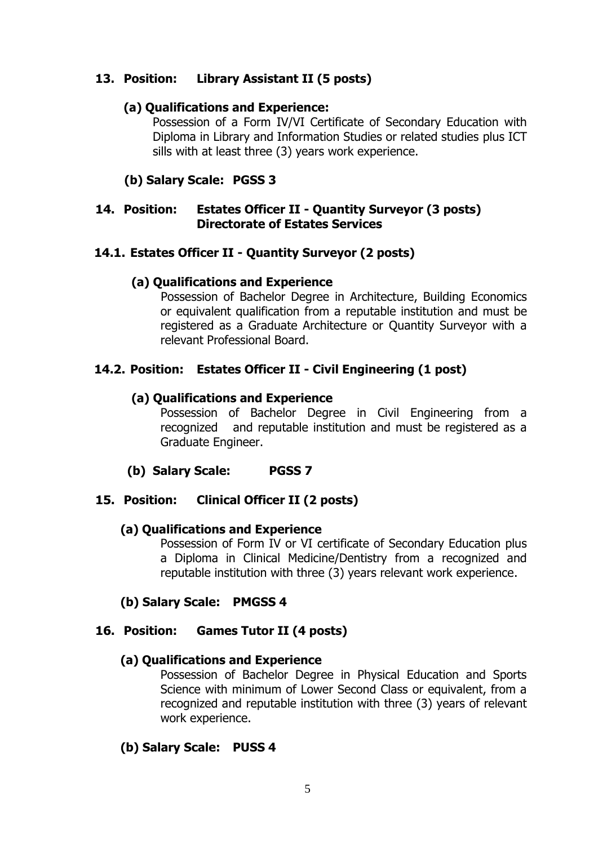### **13. Position: Library Assistant II (5 posts)**

### **(a) Qualifications and Experience:**

Possession of a Form IV/VI Certificate of Secondary Education with Diploma in Library and Information Studies or related studies plus ICT sills with at least three (3) years work experience.

# **(b) Salary Scale: PGSS 3**

#### **14. Position: Estates Officer II - Quantity Surveyor (3 posts) Directorate of Estates Services**

### **14.1. Estates Officer II - Quantity Surveyor (2 posts)**

#### **(a) Qualifications and Experience**

Possession of Bachelor Degree in Architecture, Building Economics or equivalent qualification from a reputable institution and must be registered as a Graduate Architecture or Quantity Surveyor with a relevant Professional Board.

# **14.2. Position: Estates Officer II - Civil Engineering (1 post)**

### **(a) Qualifications and Experience**

Possession of Bachelor Degree in Civil Engineering from a recognized and reputable institution and must be registered as a Graduate Engineer.

#### **(b) Salary Scale: PGSS 7**

# **15. Position: Clinical Officer II (2 posts)**

#### **(a) Qualifications and Experience**

Possession of Form IV or VI certificate of Secondary Education plus a Diploma in Clinical Medicine/Dentistry from a recognized and reputable institution with three (3) years relevant work experience.

#### **(b) Salary Scale: PMGSS 4**

#### **16. Position: Games Tutor II (4 posts)**

#### **(a) Qualifications and Experience**

Possession of Bachelor Degree in Physical Education and Sports Science with minimum of Lower Second Class or equivalent, from a recognized and reputable institution with three (3) years of relevant work experience.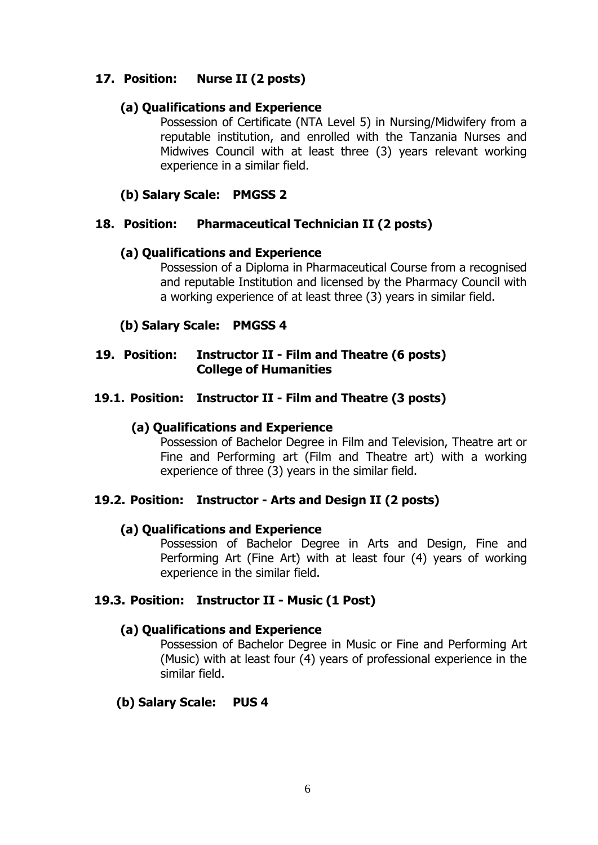### **17. Position: Nurse II (2 posts)**

#### **(a) Qualifications and Experience**

Possession of Certificate (NTA Level 5) in Nursing/Midwifery from a reputable institution, and enrolled with the Tanzania Nurses and Midwives Council with at least three (3) years relevant working experience in a similar field.

### **(b) Salary Scale: PMGSS 2**

### **18. Position: Pharmaceutical Technician II (2 posts)**

#### **(a) Qualifications and Experience**

Possession of a Diploma in Pharmaceutical Course from a recognised and reputable Institution and licensed by the Pharmacy Council with a working experience of at least three (3) years in similar field.

### **(b) Salary Scale: PMGSS 4**

### **19. Position: Instructor II - Film and Theatre (6 posts) College of Humanities**

### **19.1. Position: Instructor II - Film and Theatre (3 posts)**

### **(a) Qualifications and Experience**

Possession of Bachelor Degree in Film and Television, Theatre art or Fine and Performing art (Film and Theatre art) with a working experience of three (3) years in the similar field.

#### **19.2. Position: Instructor - Arts and Design II (2 posts)**

#### **(a) Qualifications and Experience**

Possession of Bachelor Degree in Arts and Design, Fine and Performing Art (Fine Art) with at least four (4) years of working experience in the similar field.

#### **19.3. Position: Instructor II - Music (1 Post)**

#### **(a) Qualifications and Experience**

Possession of Bachelor Degree in Music or Fine and Performing Art (Music) with at least four (4) years of professional experience in the similar field.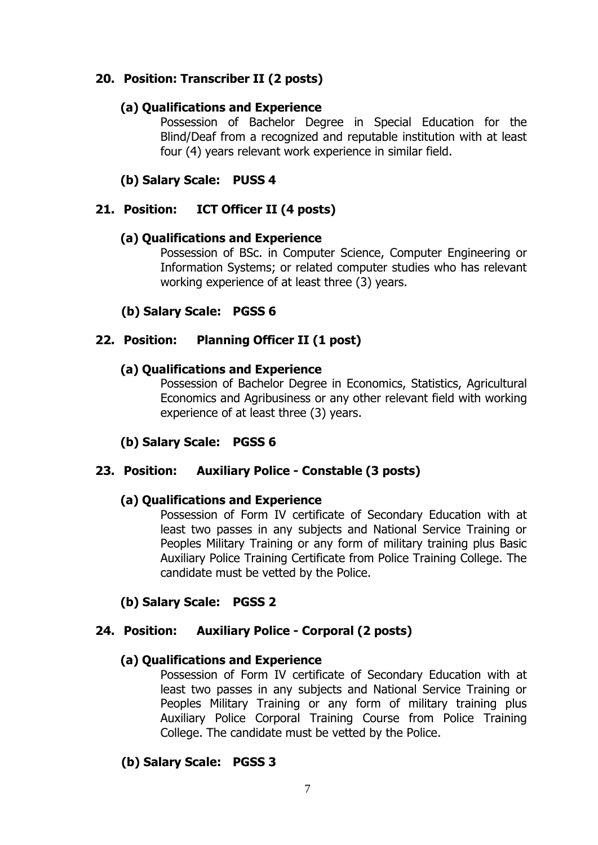### **20. Position: Transcriber II (2 posts)**

#### **(a) Qualifications and Experience**

Possession of Bachelor Degree in Special Education for the Blind/Deaf from a recognized and reputable institution with at least four (4) years relevant work experience in similar field.

### **(b) Salary Scale: PUSS 4**

### **21. Position: ICT Officer II (4 posts)**

#### **(a) Qualifications and Experience**

Possession of BSc. in Computer Science, Computer Engineering or Information Systems; or related computer studies who has relevant working experience of at least three (3) years.

### **(b) Salary Scale: PGSS 6**

#### **22. Position: Planning Officer II (1 post)**

#### **(a) Qualifications and Experience**

Possession of Bachelor Degree in Economics, Statistics, Agricultural Economics and Agribusiness or any other relevant field with working experience of at least three (3) years.

#### **(b) Salary Scale: PGSS 6**

#### **23. Position: Auxiliary Police - Constable (3 posts)**

#### **(a) Qualifications and Experience**

Possession of Form IV certificate of Secondary Education with at least two passes in any subjects and National Service Training or Peoples Military Training or any form of military training plus Basic Auxiliary Police Training Certificate from Police Training College. The candidate must be vetted by the Police.

#### **(b) Salary Scale: PGSS 2**

#### **24. Position: Auxiliary Police - Corporal (2 posts)**

#### **(a) Qualifications and Experience**

Possession of Form IV certificate of Secondary Education with at least two passes in any subjects and National Service Training or Peoples Military Training or any form of military training plus Auxiliary Police Corporal Training Course from Police Training College. The candidate must be vetted by the Police.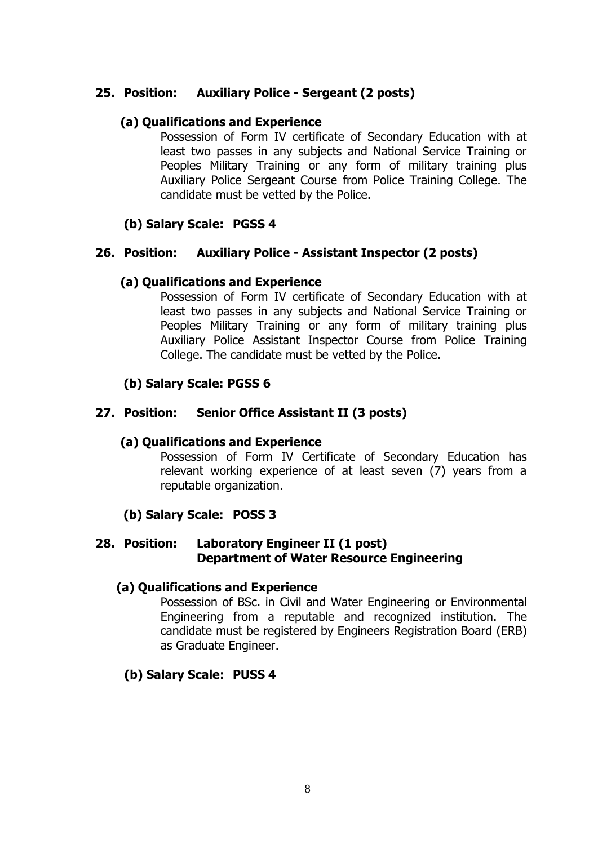#### **25. Position: Auxiliary Police - Sergeant (2 posts)**

#### **(a) Qualifications and Experience**

Possession of Form IV certificate of Secondary Education with at least two passes in any subjects and National Service Training or Peoples Military Training or any form of military training plus Auxiliary Police Sergeant Course from Police Training College. The candidate must be vetted by the Police.

### **(b) Salary Scale: PGSS 4**

#### **26. Position: Auxiliary Police - Assistant Inspector (2 posts)**

#### **(a) Qualifications and Experience**

Possession of Form IV certificate of Secondary Education with at least two passes in any subjects and National Service Training or Peoples Military Training or any form of military training plus Auxiliary Police Assistant Inspector Course from Police Training College. The candidate must be vetted by the Police.

### **(b) Salary Scale: PGSS 6**

#### **27. Position: Senior Office Assistant II (3 posts)**

#### **(a) Qualifications and Experience**

Possession of Form IV Certificate of Secondary Education has relevant working experience of at least seven (7) years from a reputable organization.

#### **(b) Salary Scale: POSS 3**

#### **28. Position: Laboratory Engineer II (1 post) Department of Water Resource Engineering**

#### **(a) Qualifications and Experience**

Possession of BSc. in Civil and Water Engineering or Environmental Engineering from a reputable and recognized institution. The candidate must be registered by Engineers Registration Board (ERB) as Graduate Engineer.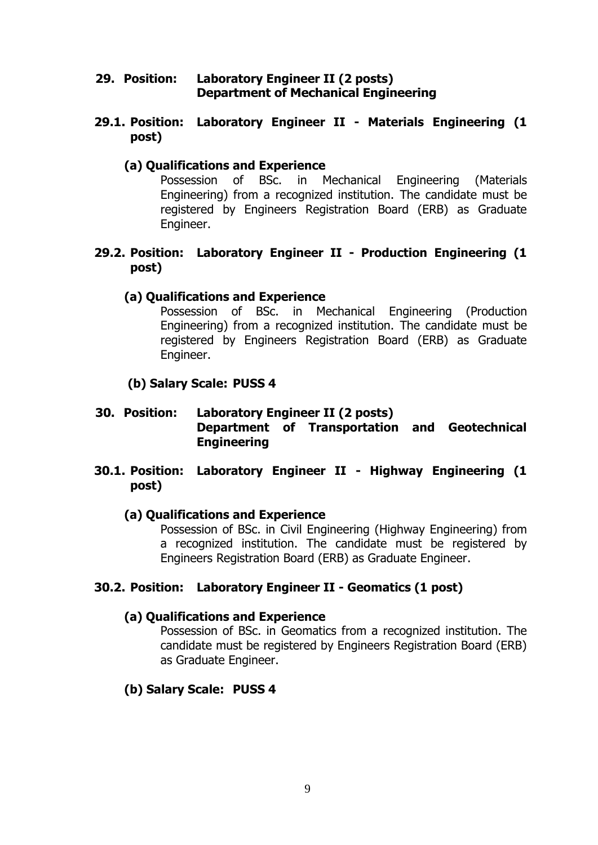#### **29. Position: Laboratory Engineer II (2 posts) Department of Mechanical Engineering**

#### **29.1. Position: Laboratory Engineer II - Materials Engineering (1 post)**

### **(a) Qualifications and Experience**

Possession of BSc. in Mechanical Engineering (Materials Engineering) from a recognized institution. The candidate must be registered by Engineers Registration Board (ERB) as Graduate Engineer.

#### **29.2. Position: Laboratory Engineer II - Production Engineering (1 post)**

### **(a) Qualifications and Experience**

Possession of BSc. in Mechanical Engineering (Production Engineering) from a recognized institution. The candidate must be registered by Engineers Registration Board (ERB) as Graduate Engineer.

### **(b) Salary Scale: PUSS 4**

### **30. Position: Laboratory Engineer II (2 posts) Department of Transportation and Geotechnical Engineering**

#### **30.1. Position: Laboratory Engineer II - Highway Engineering (1 post)**

#### **(a) Qualifications and Experience**

Possession of BSc. in Civil Engineering (Highway Engineering) from a recognized institution. The candidate must be registered by Engineers Registration Board (ERB) as Graduate Engineer.

#### **30.2. Position: Laboratory Engineer II - Geomatics (1 post)**

#### **(a) Qualifications and Experience**

Possession of BSc. in Geomatics from a recognized institution. The candidate must be registered by Engineers Registration Board (ERB) as Graduate Engineer.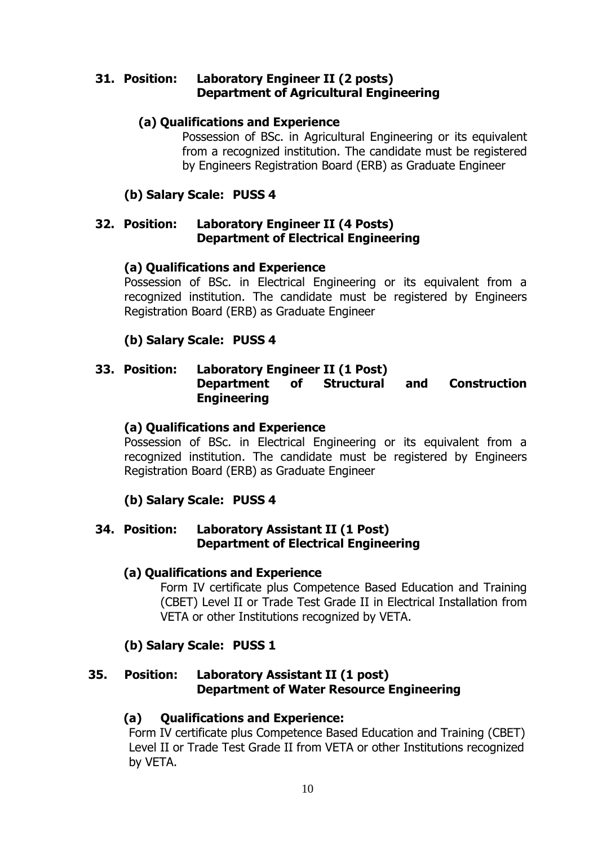#### **31. Position: Laboratory Engineer II (2 posts) Department of Agricultural Engineering**

### **(a) Qualifications and Experience**

Possession of BSc. in Agricultural Engineering or its equivalent from a recognized institution. The candidate must be registered by Engineers Registration Board (ERB) as Graduate Engineer

### **(b) Salary Scale: PUSS 4**

#### **32. Position: Laboratory Engineer II (4 Posts) Department of Electrical Engineering**

#### **(a) Qualifications and Experience**

Possession of BSc. in Electrical Engineering or its equivalent from a recognized institution. The candidate must be registered by Engineers Registration Board (ERB) as Graduate Engineer

# **(b) Salary Scale: PUSS 4**

#### **33. Position: Laboratory Engineer II (1 Post) Department of Structural and Construction Engineering**

#### **(a) Qualifications and Experience**

Possession of BSc. in Electrical Engineering or its equivalent from a recognized institution. The candidate must be registered by Engineers Registration Board (ERB) as Graduate Engineer

# **(b) Salary Scale: PUSS 4**

#### **34. Position: Laboratory Assistant II (1 Post) Department of Electrical Engineering**

#### **(a) Qualifications and Experience**

Form IV certificate plus Competence Based Education and Training (CBET) Level II or Trade Test Grade II in Electrical Installation from VETA or other Institutions recognized by VETA.

#### **(b) Salary Scale: PUSS 1**

### **35. Position: Laboratory Assistant II (1 post) Department of Water Resource Engineering**

#### **(a) Qualifications and Experience:**

Form IV certificate plus Competence Based Education and Training (CBET) Level II or Trade Test Grade II from VETA or other Institutions recognized by VETA.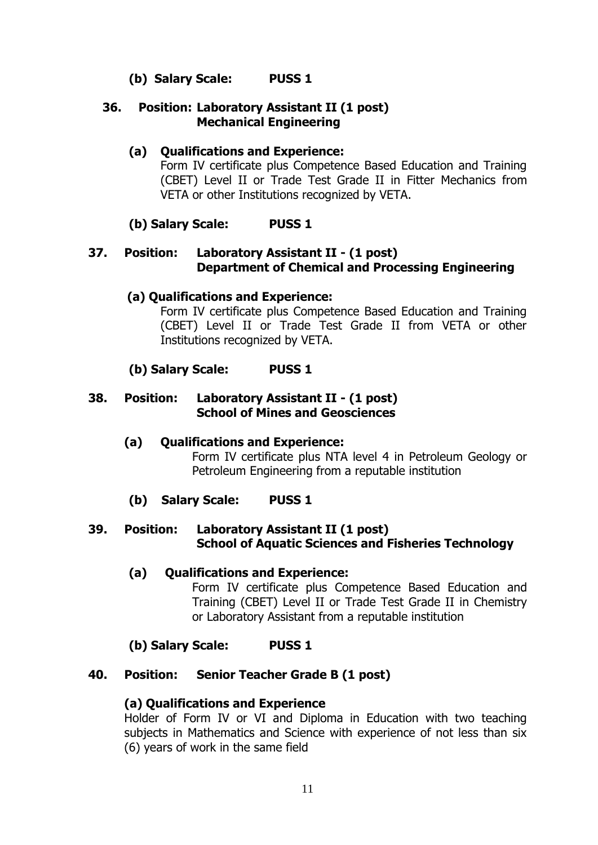# **(b) Salary Scale: PUSS 1**

#### **36. Position: Laboratory Assistant II (1 post) Mechanical Engineering**

### **(a) Qualifications and Experience:**

Form IV certificate plus Competence Based Education and Training (CBET) Level II or Trade Test Grade II in Fitter Mechanics from VETA or other Institutions recognized by VETA.

#### **(b) Salary Scale: PUSS 1**

#### **37. Position: Laboratory Assistant II - (1 post) Department of Chemical and Processing Engineering**

#### **(a) Qualifications and Experience:**

Form IV certificate plus Competence Based Education and Training (CBET) Level II or Trade Test Grade II from VETA or other Institutions recognized by VETA.

#### **(b) Salary Scale: PUSS 1**

#### **38. Position: Laboratory Assistant II - (1 post) School of Mines and Geosciences**

**(a) Qualifications and Experience:** Form IV certificate plus NTA level 4 in Petroleum Geology or Petroleum Engineering from a reputable institution

#### **(b) Salary Scale: PUSS 1**

#### **39. Position: Laboratory Assistant II (1 post) School of Aquatic Sciences and Fisheries Technology**

#### **(a) Qualifications and Experience:**

Form IV certificate plus Competence Based Education and Training (CBET) Level II or Trade Test Grade II in Chemistry or Laboratory Assistant from a reputable institution

#### **(b) Salary Scale: PUSS 1**

#### **40. Position: Senior Teacher Grade B (1 post)**

#### **(a) Qualifications and Experience**

Holder of Form IV or VI and Diploma in Education with two teaching subjects in Mathematics and Science with experience of not less than six (6) years of work in the same field